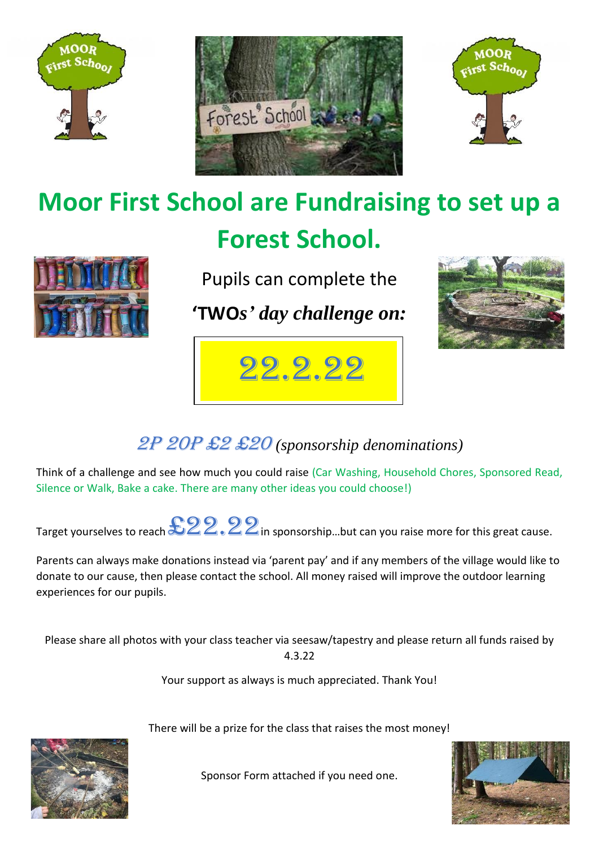





## **Moor First School are Fundraising to set up a Forest School.**



Pupils can complete the

**'TWO***s' day challenge on:*



# 22.2.22

### 2p 20p £2 £20 *(sponsorship denominations)*

Think of a challenge and see how much you could raise (Car Washing, Household Chores, Sponsored Read, Silence or Walk, Bake a cake. There are many other ideas you could choose!)

Target yourselves to reach  $322.22$  in sponsorship...but can you raise more for this great cause.

Parents can always make donations instead via 'parent pay' and if any members of the village would like to donate to our cause, then please contact the school. All money raised will improve the outdoor learning experiences for our pupils.

Please share all photos with your class teacher via seesaw/tapestry and please return all funds raised by 4.3.22

Your support as always is much appreciated. Thank You!

There will be a prize for the class that raises the most money!



Sponsor Form attached if you need one.